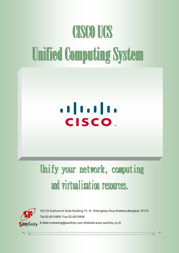# **CISCO UCS Unified Computing System**

## . . | . . . | . . **CISCO**

### Unify your network, computing and virtualization resources.



19/133 Sukhumvit Suite Building,13 th Khlongtoey-Nua,Wattana,Bangkok,10110 Tel:02-6510909, Fax:02-6510908 E-Mail:marketing@sanfinity.com,Website:www.sanfinity.co.th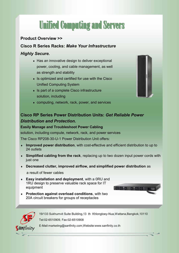### **Unified Computing and Servers**

#### **Product Overview >>**

**Cisco R Series Racks:** *Make Your Infrastructure* 

#### *Highly Secure.*

- ◆ Has an innovative design to deliver exceptional power, cooling, and cable management, as well as strength and stability
- $\bullet$  Is optimized and certified for use with the Cisco Unified Computing System
- $\bullet$  Is part of a complete Cisco infrastructure solution, including
- computing, network, rack, power, and services

#### **Cisco RP Series Power Distribution Units:** *Get Reliable Power Distribution and Protection.*

#### **Easily Manage and Troubleshoot Power Cabling**

solution, including compute, network, rack, and power services

The Cisco RP208-30-U-1 Power Distribution Unit offers:

- **Improved power distribution**, with cost-effective and efficient distribution to up to 24 outlets
- **Simplified cabling from the rack**, replacing up to two dozen input power cords with just one
- **Decreased clutter, improved airflow, and simplified power distribution** as

a result of fewer cables

- **Easy installation and deployment**, with a 0RU and 1RU design to preserve valuable rack space for IT equipment
- **Protection against overload conditions**, with two 20A circuit breakers for groups of receptacles





19/133 Sukhumvit Suite Building,13 th Khlongtoey-Nua,Wattana,Bangkok,10110 Tel:02-6510909, Fax:02-6510908

E-Mail:marketing@sanfinity.com,Website:www.sanfinity.co.th

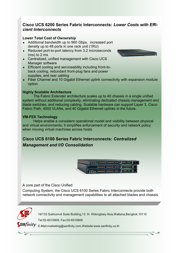#### **Cisco UCS 6200 Series Fabric Interconnects:** *Lower Costs with Efficient Interconnects*

#### **Lower Total Cost of Ownership**

- Additional bandwidth up to 960 Gbps, increased port density up to 48 ports in one rack unit (1RU)
- ◆ Reduced port-to-port latency from 3.2 microseconds (ms) to 2 ms
- Centralized, unified management with Cisco UCS Manager software
- **Efficient cooling and serviceability including front-to**back cooling, redundant front-plug fans and power supplies, and rear cabling
- Fiber Channel and 10 Gigabit Ethernet uplink connectivity with expansion module option

#### **Highly Scalable Architecture**

The Fabric Extender architecture scales up to 40 chassis in a single unified system without additional complexity, eliminating dedicated chassis management and blade switches, and reducing cabling. Scalable hardware can support Layer 3, Cisco Fabric Path, 4000 VLANs, and 40 Gigabit Ethernet uplinks in the future.

#### **VM-FEX Technology**

Helps enable a consistent operational model and visibility between physical and virtual environments; it simplifies enforcement of security and network policy when moving virtual machines across hosts

### **Cisco UCS 6100 Series Fabric Interconnects:** *Centralized Management and I/O Consolidation*



A core part of the Cisco Unified

Computing System, the Cisco UCS 6100 Series Fabric Interconnects provide both network connectivity and management capabilities to all attached blades and chassis.



 $\frac{1}{\sqrt{2}}$ 

19/133 Sukhumvit Suite Building,13 th Khlongtoey-Nua,Wattana,Bangkok,10110 Tel:02-6510909, Fax:02-6510908

 $\int A N$ finity  $E$ -Mail:marketing@sanfinity.com,Website:www.sanfinity.co.th

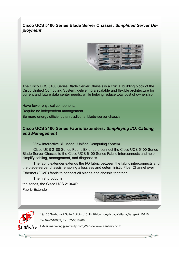#### **Cisco UCS 5100 Series Blade Server Chassis:** *Simplified Server Deployment*



The Cisco UCS 5100 Series Blade Server Chassis is a crucial building block of the Cisco Unified Computing System, delivering a scalable and flexible architecture for current and future data center needs, while helping reduce total cost of ownership.

Have fewer physical components

Require no independent management

Be more energy efficient than traditional blade-server chassis

#### **Cisco UCS 2100 Series Fabric Extenders:** *Simplifying I/O, Cabling, and Management*

View Interactive 3D Model: Unified Computing System

Cisco UCS 2100 Series Fabric Extenders connect the Cisco UCS 5100 Series Blade Server Chassis to the Cisco UCS 6100 Series Fabric Interconnects and help simplify cabling, management, and diagnostics.

The fabric extender extends the I/O fabric between the fabric interconnects and the blade-server chassis, enabling a lossless and deterministic Fiber Channel over

Ethernet (FCoE) fabric to connect all blades and chassis together.

The first product in the series, the Cisco UCS 2104XP Fabric Extender





19/133 Sukhumvit Suite Building,13 th Khlongtoey-Nua,Wattana,Bangkok,10110 Tel:02-6510909, Fax:02-6510908

E-Mail:marketing@sanfinity.com,Website:www.sanfinity.co.th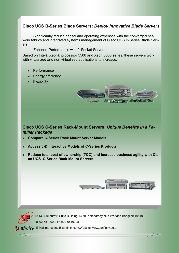#### **Cisco UCS B-Series Blade Servers:** *Deploy Innovative Blade Servers*

Significantly reduce capital and operating expenses with the converged network fabrics and integrated systems management of Cisco UCS B-Series Blade Servers.

#### Enhance Performance with 2-Socket Servers

Based on Intel® Xeon® processor 5500 and Xeon 5600 series, these servers work with virtualized and non virtualized applications to increase:

- **Performance**
- Energy efficiency
- **Flexibility**



#### **Cisco UCS C-Series Rack-Mount Servers:** *Unique Benefits in a Familiar Package*

- **Compare C-[Series Rack Mount Server Models](http://www.cisco.com/en/US/prod/ps10265/ps10493/c_series_comparison.html)**
- **Access 3-[D Interactive Models of C](http://www.cisco.com/en/US/products/ps10493/prod_presentation_list.html)-Series Products**
- **Reduce total cost of ownership (TCO) and increase business agility with Cisco UCS C-Series Rack-Mount Servers**



19/133 Sukhumvit Suite Building,13 th Khlongtoey-Nua,Wattana,Bangkok,10110 Tel:02-6510909, Fax:02-6510908

 $\mathsf{S}$ **AN** $finit$  $\mathsf{y}$  E-Mail:marketing@sanfinity.com,Website:www.sanfinity.co.th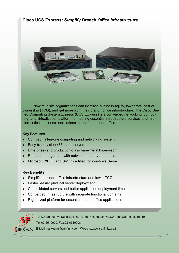#### **Cisco UCS Express:** *Simplify Branch Office Infrastructure*



Now multisite organizations can increase business agility, lower total cost of ownership (TCO), and get more from their branch office infrastructure. The Cisco Unified Computing System Express (UCS Express) is a converged networking, computing, and virtualization platform for hosting essential infrastructure services and mission-critical business applications in the lean branch office.

#### **Key Features**

- Compact, all-in-one computing and networking system
- Easy-to-provision x86 blade servers
- Enterprise- and production-class bare-metal hypervisor
- Remote management with network and server separation
- Microsoft WHQL and SVVP certified for Windows Server

#### **Key Benefits**

- Simplified branch office infrastructure and lower TCO
- ◆ Faster, easier physical server deployment
- Consolidated servers and better application deployment time
- Converged infrastructure with separate functional domains
- Right-sized platform for essential branch office applications



19/133 Sukhumvit Suite Building,13 th Khlongtoey-Nua,Wattana,Bangkok,10110 Tel:02-6510909, Fax:02-6510908

 $\int \n\iiint \nint y$  E-Mail:marketing@sanfinity.com,Website:www.sanfinity.co.th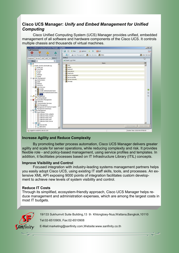#### **Cisco UCS Manager:** *Unify and Embed Management for Unified Computing*

Cisco Unified Computing System (UCS) Manager provides unified, embedded management of all software and hardware components of the Cisco UCS. It controls multiple chassis and thousands of virtual machines.



#### **Increase Agility and Reduce Complexity**

By promoting better process automation, Cisco UCS Manager delivers greater agility and scale for server operations, while reducing complexity and risk. It provides flexible role - and policy-based management, using service profiles and templates. In addition, it facilitates processes based on IT Infrastructure Library (ITIL) concepts.

#### **Improve Visibility and Control**

Focused integration with industry-[leading systems management partners](http://www.cisco.com/en/US/prod/ps10265/ps10281/ucs_manager_ecosystem.html) helps you easily adopt Cisco UCS, using existing IT staff skills, tools, and processes. An extensive XML API exposing 9000 points of integration facilitates [custom develop](http://developer.cisco.com/web/unifiedcomputing/start)[ment](http://developer.cisco.com/web/unifiedcomputing/start) to achieve new levels of system visibility and control.

#### **Reduce IT Costs**

Through its simplified, ecosystem-friendly approach, Cisco UCS Manager helps reduce management and administration expenses, which are among the largest costs in most IT budgets.



19/133 Sukhumvit Suite Building,13 th Khlongtoey-Nua,Wattana,Bangkok,10110

Tel:02-6510909, Fax:02-6510908

E-Mail:marketing@sanfinity.com,Website:www.sanfinity.co.th